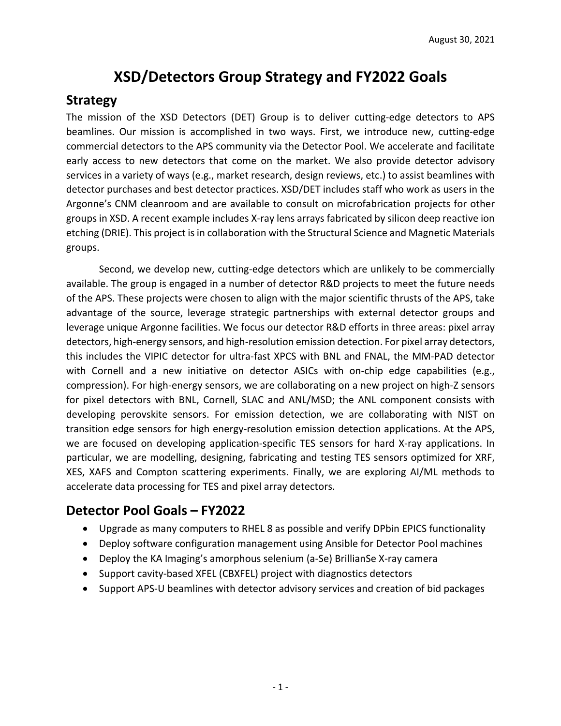## **XSD/Detectors Group Strategy and FY2022 Goals**

## **Strategy**

The mission of the XSD Detectors (DET) Group is to deliver cutting-edge detectors to APS beamlines. Our mission is accomplished in two ways. First, we introduce new, cutting-edge commercial detectors to the APS community via the Detector Pool. We accelerate and facilitate early access to new detectors that come on the market. We also provide detector advisory services in a variety of ways (e.g., market research, design reviews, etc.) to assist beamlines with detector purchases and best detector practices. XSD/DET includes staff who work as users in the Argonne's CNM cleanroom and are available to consult on microfabrication projects for other groups in XSD. A recent example includes X-ray lens arrays fabricated by silicon deep reactive ion etching (DRIE). This project is in collaboration with the Structural Science and Magnetic Materials groups.

Second, we develop new, cutting-edge detectors which are unlikely to be commercially available. The group is engaged in a number of detector R&D projects to meet the future needs of the APS. These projects were chosen to align with the major scientific thrusts of the APS, take advantage of the source, leverage strategic partnerships with external detector groups and leverage unique Argonne facilities. We focus our detector R&D efforts in three areas: pixel array detectors, high-energy sensors, and high-resolution emission detection. For pixel array detectors, this includes the VIPIC detector for ultra-fast XPCS with BNL and FNAL, the MM-PAD detector with Cornell and a new initiative on detector ASICs with on-chip edge capabilities (e.g., compression). For high-energy sensors, we are collaborating on a new project on high-Z sensors for pixel detectors with BNL, Cornell, SLAC and ANL/MSD; the ANL component consists with developing perovskite sensors. For emission detection, we are collaborating with NIST on transition edge sensors for high energy-resolution emission detection applications. At the APS, we are focused on developing application-specific TES sensors for hard X-ray applications. In particular, we are modelling, designing, fabricating and testing TES sensors optimized for XRF, XES, XAFS and Compton scattering experiments. Finally, we are exploring AI/ML methods to accelerate data processing for TES and pixel array detectors.

## **Detector Pool Goals – FY2022**

- Upgrade as many computers to RHEL 8 as possible and verify DPbin EPICS functionality
- Deploy software configuration management using Ansible for Detector Pool machines
- Deploy the KA Imaging's amorphous selenium (a-Se) BrillianSe X-ray camera
- Support cavity-based XFEL (CBXFEL) project with diagnostics detectors
- Support APS-U beamlines with detector advisory services and creation of bid packages